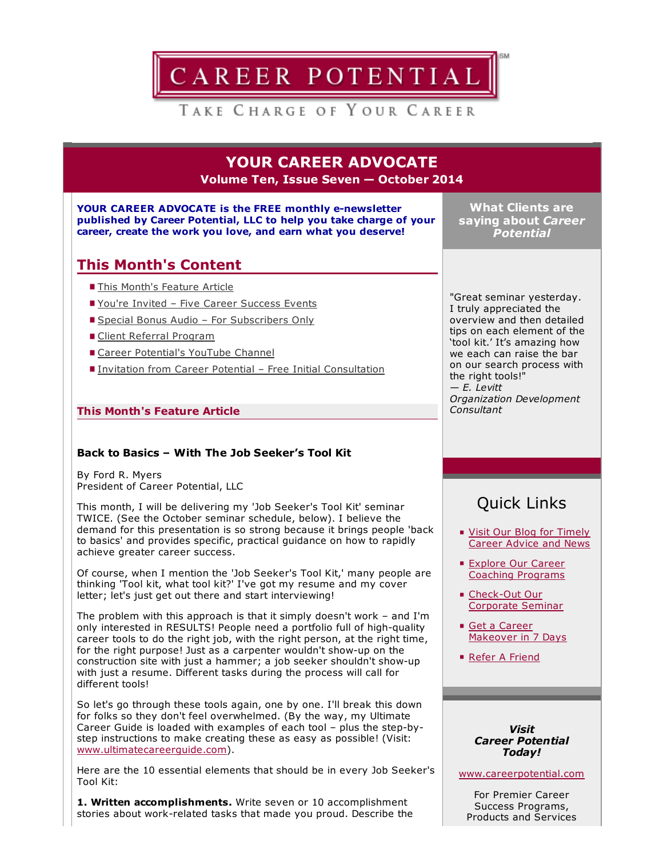

YOUR CAREER ADVOCATE Volume Ten, Issue Seven — October 2014

YOUR CAREER ADVOCATE is the FREE monthly e-newsletter published by Career Potential, LLC to help you take charge of your career, create the work you love, and earn what you deserve!

What Clients are saying about *Career Potential*

## This Month's Content

- **This Month's Feature Article**
- You're Invited Five Career Success Events
- Special Bonus Audio For Subscribers Only
- Client Referral Program
- Career Potential's YouTube Channel
- Invitation from Career Potential Free Initial Consultation

### This Month's Feature Article

#### Back to Basics – With The Job Seeker's Tool Kit

By Ford R. Myers President of Career Potential, LLC

This month, I will be delivering my 'Job Seeker's Tool Kit' seminar TWICE. (See the October seminar schedule, below). I believe the demand for this presentation is so strong because it brings people 'back to basics' and provides specific, practical guidance on how to rapidly achieve greater career success.

Of course, when I mention the 'Job Seeker's Tool Kit,' many people are thinking 'Tool kit, what tool kit?' I've got my resume and my cover letter; let's just get out there and start interviewing!

The problem with this approach is that it simply doesn't work – and I'm only interested in RESULTS! People need a portfolio full of high-quality career tools to do the right job, with the right person, at the right time, for the right purpose! Just as a carpenter wouldn't show-up on the construction site with just a hammer; a job seeker shouldn't show-up with just a resume. Different tasks during the process will call for different tools!

So let's go through these tools again, one by one. I'll break this down for folks so they don't feel overwhelmed. (By the way, my Ultimate Career Guide is loaded with examples of each tool - plus the step-bystep instructions to make creating these as easy as possible! (Visit: [www.ultimatecareerguide.com\)](http://www.ultimatecareerguide.com/).

Here are the 10 essential elements that should be in every Job Seeker's Tool Kit:

1. Written accomplishments. Write seven or 10 accomplishment stories about work-related tasks that made you proud. Describe the

"Great seminar yesterday. I truly appreciated the overview and then detailed tips on each element of the 'tool kit.' It's amazing how we each can raise the bar on our search process with the right tools!" *— E. Levitt Organization Development Consultant*

# Quick Links

- Visit Our Blog for Timely [Career](http://careerpotential.com/blog/) Advice and News
- **Explore Our Career** Coaching [Programs](http://careerpotential.com/career-coaching/)
- Check-Out Our Corporate Seminar
- Get a Career [Makeover](http://www.careersuccessaudio.com/) in 7 Days
- Refer A [Friend](http://careerpotential.com/career-potential/refer-career-potential/)

#### *Visit Career Potential Today!*

[www.careerpotential.com](http://www.careerpotential.com/)

For Premier Career Success Programs, Products and Services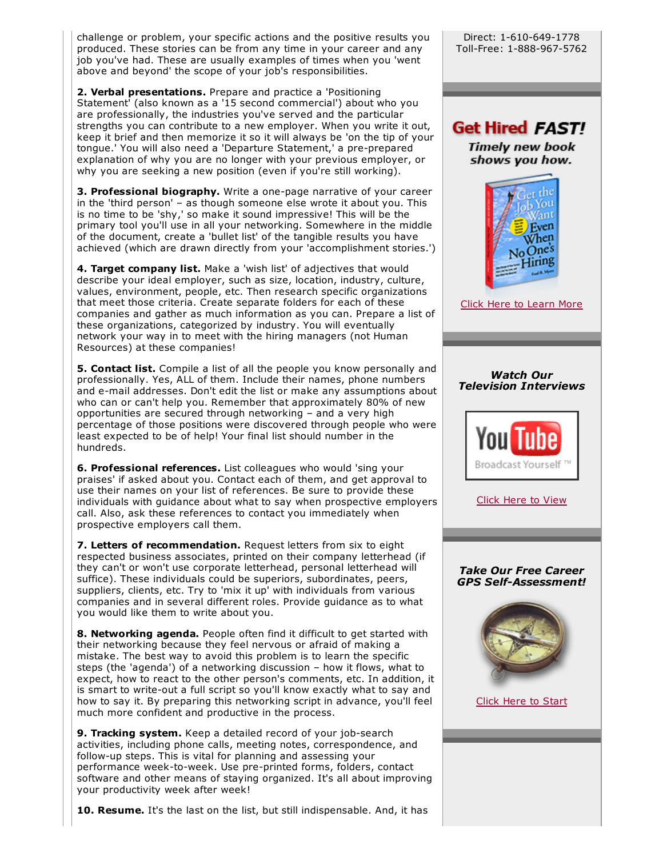challenge or problem, your specific actions and the positive results you produced. These stories can be from any time in your career and any job you've had. These are usually examples of times when you 'went above and beyond' the scope of your job's responsibilities.

2. Verbal presentations. Prepare and practice a 'Positioning Statement' (also known as a '15 second commercial') about who you are professionally, the industries you've served and the particular strengths you can contribute to a new employer. When you write it out, keep it brief and then memorize it so it will always be 'on the tip of your tongue.' You will also need a 'Departure Statement,' a pre-prepared explanation of why you are no longer with your previous employer, or why you are seeking a new position (even if you're still working).

3. Professional biography. Write a one-page narrative of your career in the 'third person' – as though someone else wrote it about you. This is no time to be 'shy,' so make it sound impressive! This will be the primary tool you'll use in all your networking. Somewhere in the middle of the document, create a 'bullet list' of the tangible results you have achieved (which are drawn directly from your 'accomplishment stories.')

4. Target company list. Make a 'wish list' of adjectives that would describe your ideal employer, such as size, location, industry, culture, values, environment, people, etc. Then research specific organizations that meet those criteria. Create separate folders for each of these companies and gather as much information as you can. Prepare a list of these organizations, categorized by industry. You will eventually network your way in to meet with the hiring managers (not Human Resources) at these companies!

**5. Contact list.** Compile a list of all the people you know personally and professionally. Yes, ALL of them. Include their names, phone numbers and e-mail addresses. Don't edit the list or make any assumptions about who can or can't help you. Remember that approximately 80% of new opportunities are secured through networking – and a very high percentage of those positions were discovered through people who were least expected to be of help! Your final list should number in the hundreds.

**6. Professional references.** List colleagues who would 'sing your praises' if asked about you. Contact each of them, and get approval to use their names on your list of references. Be sure to provide these individuals with guidance about what to say when prospective employers call. Also, ask these references to contact you immediately when prospective employers call them.

**7. Letters of recommendation.** Request letters from six to eight respected business associates, printed on their company letterhead (if they can't or won't use corporate letterhead, personal letterhead will suffice). These individuals could be superiors, subordinates, peers, suppliers, clients, etc. Try to 'mix it up' with individuals from various companies and in several different roles. Provide guidance as to what you would like them to write about you.

**8. Networking agenda.** People often find it difficult to get started with their networking because they feel nervous or afraid of making a mistake. The best way to avoid this problem is to learn the specific steps (the 'agenda') of a networking discussion – how it flows, what to expect, how to react to the other person's comments, etc. In addition, it is smart to write-out a full script so you'll know exactly what to say and how to say it. By preparing this networking script in advance, you'll feel much more confident and productive in the process.

**9. Tracking system.** Keep a detailed record of your job-search activities, including phone calls, meeting notes, correspondence, and follow-up steps. This is vital for planning and assessing your performance week-to-week. Use pre-printed forms, folders, contact software and other means of staying organized. It's all about improving your productivity week after week!

**10. Resume.** It's the last on the list, but still indispensable. And, it has

Get Hired FAST! **Timely new book** 

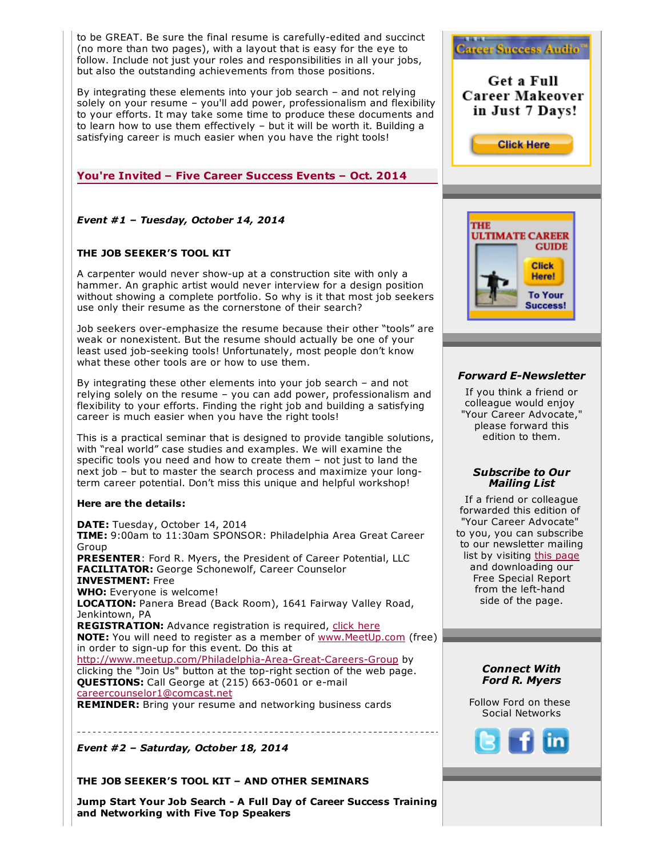to be GREAT. Be sure the final resume is carefully-edited and succinct (no more than two pages), with a layout that is easy for the eye to follow. Include not just your roles and responsibilities in all your jobs, but also the outstanding achievements from those positions.

By integrating these elements into your job search – and not relying solely on your resume – you'll add power, professionalism and flexibility to your efforts. It may take some time to produce these documents and to learn how to use them effectively – but it will be worth it. Building a satisfying career is much easier when you have the right tools!

### You're Invited – Five Career Success Events – Oct. 2014

### *Event #1 – Tuesday, October 14, 2014*

#### THE JOB SEEKER'S TOOL KIT

A carpenter would never show-up at a construction site with only a hammer. An graphic artist would never interview for a design position without showing a complete portfolio. So why is it that most job seekers use only their resume as the cornerstone of their search?

Job seekers over-emphasize the resume because their other "tools" are weak or nonexistent. But the resume should actually be one of your least used job-seeking tools! Unfortunately, most people don't know what these other tools are or how to use them.

By integrating these other elements into your job search – and not relying solely on the resume – you can add power, professionalism and flexibility to your efforts. Finding the right job and building a satisfying career is much easier when you have the right tools!

This is a practical seminar that is designed to provide tangible solutions, with "real world" case studies and examples. We will examine the specific tools you need and how to create them – not just to land the next job – but to master the search process and maximize your longterm career potential. Don't miss this unique and helpful workshop!

#### Here are the details:

DATE: Tuesday, October 14, 2014 TIME: 9:00am to 11:30am SPONSOR: Philadelphia Area Great Career Group PRESENTER: Ford R. Myers, the President of Career Potential, LLC FACILITATOR: George Schonewolf, Career Counselor INVESTMENT: Free WHO: Everyone is welcome! LOCATION: Panera Bread (Back Room), 1641 Fairway Valley Road, Jenkintown, PA REGISTRATION: Advance registration is required, click [here](http://www.meetup.com/Philadelphia-Area-Great-Careers-Group/events/206037892/) NOTE: You will need to register as a member of [www.MeetUp.com](http://www.meetup.com/) (free) in order to sign-up for this event. Do this at http://www.meetup.com/Philadelphia-Area-Great-Careers-Group by clicking the "Join Us" button at the top-right section of the web page. **QUESTIONS:** Call George at (215) 663-0601 or e-mail [careercounselor1@comcast.net](mailto:careercounselor1@comcast.net) REMINDER: Bring your resume and networking business cards

*Event #2 – Saturday, October 18, 2014*

------------------------

#### THE JOB SEEKER'S TOOL KIT – AND OTHER SEMINARS

Jump Start Your Job Search A Full Day of Career Success Training and Networking with Five Top Speakers



**Career Success Audio** 

#### **Forward E-Newsletter**

If you think a friend or colleague would enjoy "Your Career Advocate," please forward this edition to them.

#### *Subscribe to Our Mailing List*

If a friend or colleague forwarded this edition of "Your Career Advocate" to you, you can subscribe to our newsletter mailing list by visiting this [page](http://careerpotential.com/career-potential/) and downloading our Free Special Report from the left-hand side of the page.

#### *Connect With Ford R. Myers*

Follow Ford on these Social Networks

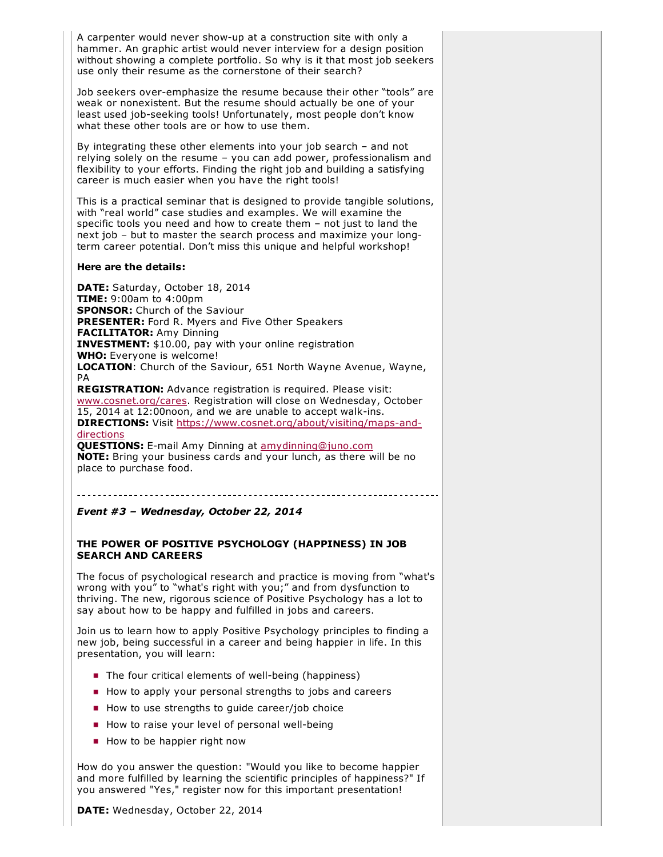A carpenter would never show-up at a construction site with only a hammer. An graphic artist would never interview for a design position without showing a complete portfolio. So why is it that most job seekers use only their resume as the cornerstone of their search?

Job seekers over-emphasize the resume because their other "tools" are weak or nonexistent. But the resume should actually be one of your least used job-seeking tools! Unfortunately, most people don't know what these other tools are or how to use them.

By integrating these other elements into your job search – and not relying solely on the resume – you can add power, professionalism and flexibility to your efforts. Finding the right job and building a satisfying career is much easier when you have the right tools!

This is a practical seminar that is designed to provide tangible solutions, with "real world" case studies and examples. We will examine the specific tools you need and how to create them – not just to land the next job – but to master the search process and maximize your longterm career potential. Don't miss this unique and helpful workshop!

#### Here are the details:

DATE: Saturday, October 18, 2014 **TIME:** 9:00am to 4:00pm **SPONSOR:** Church of the Saviour PRESENTER: Ford R. Myers and Five Other Speakers FACILITATOR: Amy Dinning INVESTMENT: \$10.00, pay with your online registration WHO: Everyone is welcome! LOCATION: Church of the Saviour, 651 North Wayne Avenue, Wayne, PA REGISTRATION: Advance registration is required. Please visit:

[www.cosnet.org/cares.](https://www.cosnet.org/care/) Registration will close on Wednesday, October 15, 2014 at 12:00noon, and we are unable to accept walk-ins. DIRECTIONS: Visit https://www.cosnet.org/about/visiting/maps-anddirections

**QUESTIONS:** E-mail Amy Dinning at [amydinning@juno.com](mailto:amydinning@juno.com) NOTE: Bring your business cards and your lunch, as there will be no place to purchase food.

#### *Event #3 – Wednesday, October 22, 2014*

#### THE POWER OF POSITIVE PSYCHOLOGY (HAPPINESS) IN JOB SEARCH AND CAREERS

The focus of psychological research and practice is moving from "what's wrong with you" to "what's right with you;" and from dysfunction to thriving. The new, rigorous science of Positive Psychology has a lot to say about how to be happy and fulfilled in jobs and careers.

Join us to learn how to apply Positive Psychology principles to finding a new job, being successful in a career and being happier in life. In this presentation, you will learn:

- $\blacksquare$  The four critical elements of well-being (happiness)
- How to apply your personal strengths to jobs and careers
- How to use strengths to quide career/job choice
- $\blacksquare$  How to raise your level of personal well-being
- How to be happier right now

How do you answer the question: "Would you like to become happier and more fulfilled by learning the scientific principles of happiness?" If you answered "Yes," register now for this important presentation!

DATE: Wednesday, October 22, 2014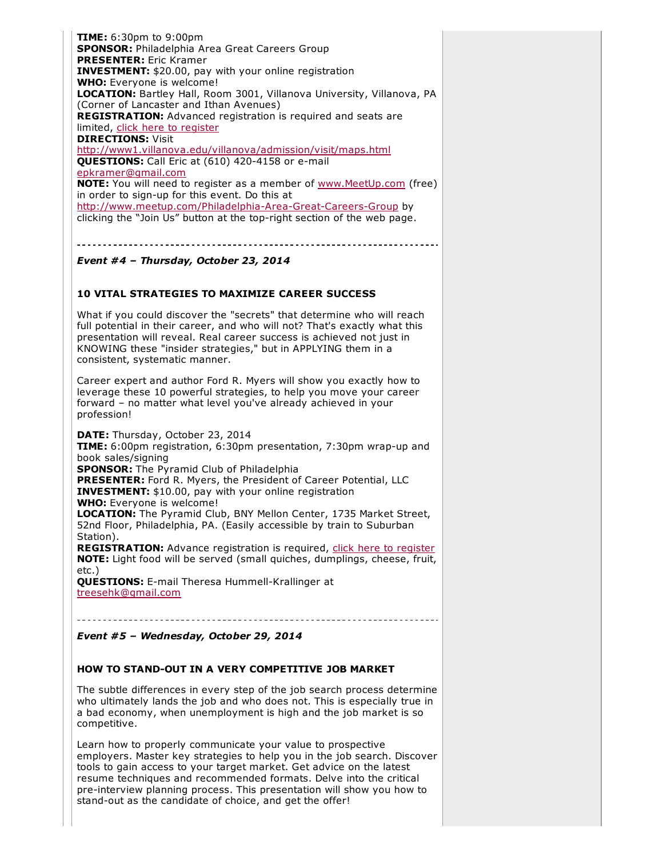**TIME:** 6:30pm to 9:00pm SPONSOR: Philadelphia Area Great Careers Group PRESENTER: Eric Kramer INVESTMENT: \$20.00, pay with your online registration WHO: Everyone is welcome! LOCATION: Bartley Hall, Room 3001, Villanova University, Villanova, PA (Corner of Lancaster and Ithan Avenues) REGISTRATION: Advanced registration is required and seats are limited, click here to [register](http://www.meetup.com/Philadelphia-Area-Great-Careers-Group/events/211273622/) **DIRECTIONS: Visit** <http://www1.villanova.edu/villanova/admission/visit/maps.html> QUESTIONS: Call Eric at (610) 420-4158 or e-mail [epkramer@gmail.com](mailto:epkramer@gmail.com) NOTE: You will need to register as a member of [www.MeetUp.com](http://www.meetup.com/) (free) in order to sign-up for this event. Do this at http://www.meetup.com/Philadelphia-Area-Great-Careers-Group by clicking the "Join Us" button at the top-right section of the web page.

#### *Event #4 – Thursday, October 23, 2014*

#### 10 VITAL STRATEGIES TO MAXIMIZE CAREER SUCCESS

What if you could discover the "secrets" that determine who will reach full potential in their career, and who will not? That's exactly what this presentation will reveal. Real career success is achieved not just in KNOWING these "insider strategies," but in APPLYING them in a consistent, systematic manner.

Career expert and author Ford R. Myers will show you exactly how to leverage these 10 powerful strategies, to help you move your career forward – no matter what level you've already achieved in your profession!

DATE: Thursday, October 23, 2014 TIME: 6:00pm registration, 6:30pm presentation, 7:30pm wrap-up and book sales/signing **SPONSOR:** The Pyramid Club of Philadelphia PRESENTER: Ford R. Myers, the President of Career Potential, LLC INVESTMENT: \$10.00, pay with your online registration WHO: Everyone is welcome! LOCATION: The Pyramid Club, BNY Mellon Center, 1735 Market Street, 52nd Floor, Philadelphia, PA. (Easily accessible by train to Suburban Station).

REGISTRATION: Advance registration is required, click here to [register](https://www.eventbrite.com/e/philly-author-series-ford-myers-10-vital-strategies-to-maximize-career-success-tickets-13035466431) NOTE: Light food will be served (small quiches, dumplings, cheese, fruit, etc.)

QUESTIONS: E-mail Theresa Hummell-Krallinger at [treesehk@gmail.com](mailto:treesehk@gmail.com)

*Event #5 – Wednesday, October 29, 2014*

#### HOW TO STAND-OUT IN A VERY COMPETITIVE JOB MARKET

The subtle differences in every step of the job search process determine who ultimately lands the job and who does not. This is especially true in a bad economy, when unemployment is high and the job market is so competitive.

Learn how to properly communicate your value to prospective employers. Master key strategies to help you in the job search. Discover tools to gain access to your target market. Get advice on the latest resume techniques and recommended formats. Delve into the critical pre-interview planning process. This presentation will show you how to stand-out as the candidate of choice, and get the offer!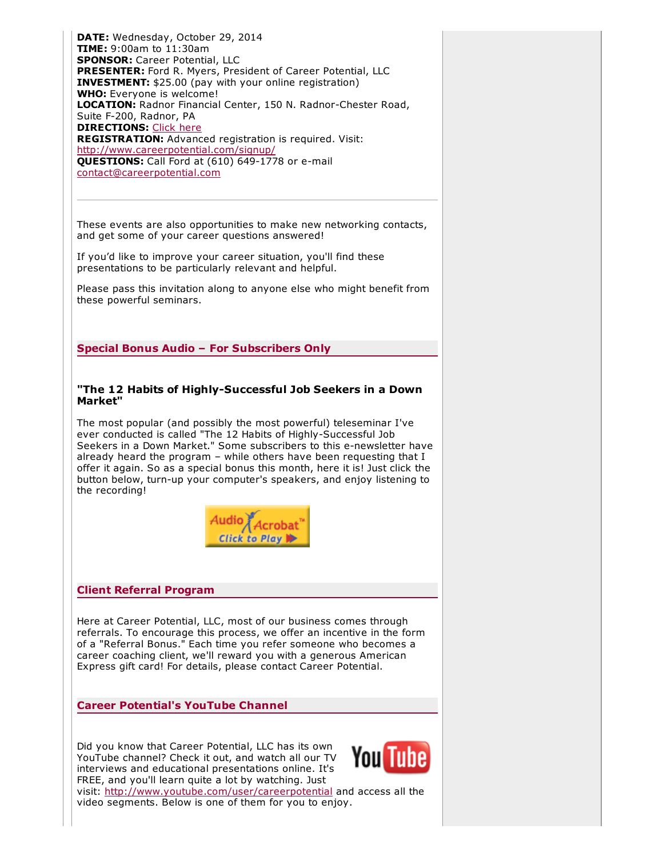DATE: Wednesday, October 29, 2014 TIME: 9:00am to 11:30am SPONSOR: Career Potential, LLC PRESENTER: Ford R. Myers, President of Career Potential, LLC INVESTMENT: \$25.00 (pay with your online registration) WHO: Everyone is welcome! LOCATION: Radnor Financial Center, 150 N. Radnor-Chester Road, Suite F-200, Radnor, PA **DIRECTIONS: [Click](http://careerpotential.com/contact-career-potential/directions-radnor/) here** REGISTRATION: Advanced registration is required. Visit: <http://www.careerpotential.com/signup/> QUESTIONS: Call Ford at (610) 649-1778 or e-mail [contact@careerpotential.com](mailto:contact@careerpotential.com)

These events are also opportunities to make new networking contacts, and get some of your career questions answered!

If you'd like to improve your career situation, you'll find these presentations to be particularly relevant and helpful.

Please pass this invitation along to anyone else who might benefit from these powerful seminars.

Special Bonus Audio – For Subscribers Only

#### "The 12 Habits of Highly-Successful Job Seekers in a Down Market"

The most popular (and possibly the most powerful) teleseminar I've ever conducted is called "The 12 Habits of Highly-Successful Job Seekers in a Down Market." Some subscribers to this e-newsletter have already heard the program – while others have been requesting that I offer it again. So as a special bonus this month, here it is! Just click the button below, turn-up your computer's speakers, and enjoy listening to the recording!



#### Client Referral Program

Here at Career Potential, LLC, most of our business comes through referrals. To encourage this process, we offer an incentive in the form of a "Referral Bonus." Each time you refer someone who becomes a career coaching client, we'll reward you with a generous American Express gift card! For details, please contact Career Potential.

Career Potential's YouTube Channel

Did you know that Career Potential, LLC has its own Youl YouTube channel? Check it out, and watch all our TV interviews and educational presentations online. It's FREE, and you'll learn quite a lot by watching. Just



visit: <http://www.youtube.com/user/careerpotential> and access all the video segments. Below is one of them for you to enjoy.